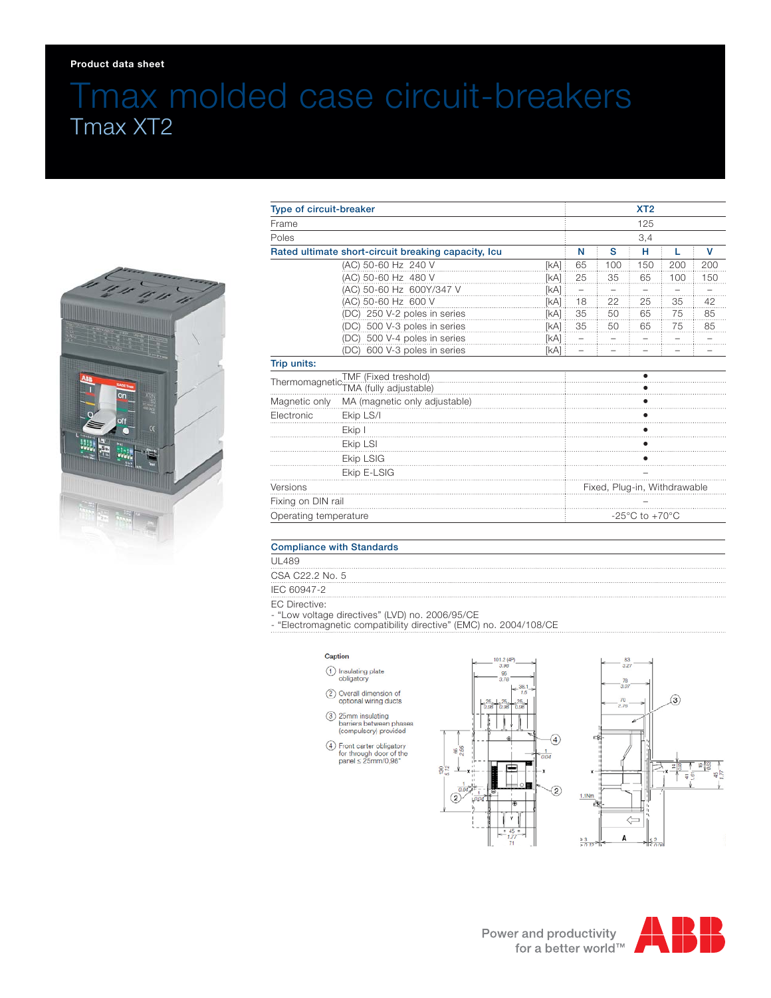### **Product data sheet**

# Tmax molded case circuit-breakers Tmax XT2



| Type of circuit-breaker                                               |                                 |      | XT <sub>2</sub><br>125<br>3,4      |                     |      |     |     |
|-----------------------------------------------------------------------|---------------------------------|------|------------------------------------|---------------------|------|-----|-----|
| Frame<br>Poles<br>Rated ultimate short-circuit breaking capacity, Icu |                                 |      |                                    |                     |      |     |     |
|                                                                       |                                 |      |                                    |                     |      |     |     |
|                                                                       |                                 |      |                                    | (AC) 50-60 Hz 240 V | [kA] | 65  | 100 |
|                                                                       | (AC) 50-60 Hz 480 V             | [kA] | 25                                 | 35                  | 65   | 100 | 150 |
|                                                                       | (AC) 50-60 Hz 600Y/347 V        | [kA] | -                                  |                     |      |     |     |
|                                                                       | (AC) 50-60 Hz 600 V             | [kA] | 18                                 | 22                  | 25   | 35  | 42  |
|                                                                       | (DC) 250 V-2 poles in series    | [kA] | 35                                 | 50                  | 65   | 75  | 85  |
|                                                                       | (DC) 500 V-3 poles in series    | [kA] | 35                                 | 50                  | 65   | 75  | 85  |
|                                                                       | (DC) 500 V-4 poles in series    | [kA] |                                    |                     |      |     |     |
|                                                                       | 600 V-3 poles in series<br>(DC) | [kA] |                                    |                     |      |     |     |
| Trip units:                                                           |                                 |      |                                    |                     |      |     |     |
| TMF (Fixed treshold)                                                  |                                 |      |                                    |                     |      |     |     |
|                                                                       |                                 |      |                                    |                     |      |     |     |
| Magnetic only                                                         | MA (magnetic only adjustable)   |      |                                    |                     |      |     |     |
| Electronic                                                            | Ekip LS/I                       |      |                                    |                     |      |     |     |
|                                                                       | Ekip I                          |      |                                    |                     |      |     |     |
|                                                                       | Ekip LSI                        |      |                                    |                     |      |     |     |
|                                                                       | <b>Ekip LSIG</b>                |      |                                    |                     |      |     |     |
|                                                                       | Ekip E-LSIG                     |      |                                    |                     |      |     |     |
| Versions                                                              |                                 |      | Fixed, Plug-in, Withdrawable       |                     |      |     |     |
| Fixing on DIN rail                                                    |                                 |      |                                    |                     |      |     |     |
| Operating temperature                                                 |                                 |      | $-25^{\circ}$ C to $+70^{\circ}$ C |                     |      |     |     |

## Compliance with Standards

UL489

CSA C22.2 No. 5

**IEC 60947-2** 

EC Directive:

- "Low voltage directives" (LVD) no. 2006/95/CE

- "Electromagnetic compatibility directive" (EMC) no. 2004/108/CE

#### Caption

- (1) Insulating plate<br>obligatory
- 2 Overall dimension of<br>optional wiring ducts
- 3 25mm insulating<br>barriers between phases<br>(compulsory) provided
- $\begin{array}{ll} \textcircled{4} & \text{Front Carter~obligatory} \\ & \text{for through door of the panel} \leq 25 \text{mm} / 0,98 \text{*} \end{array}$